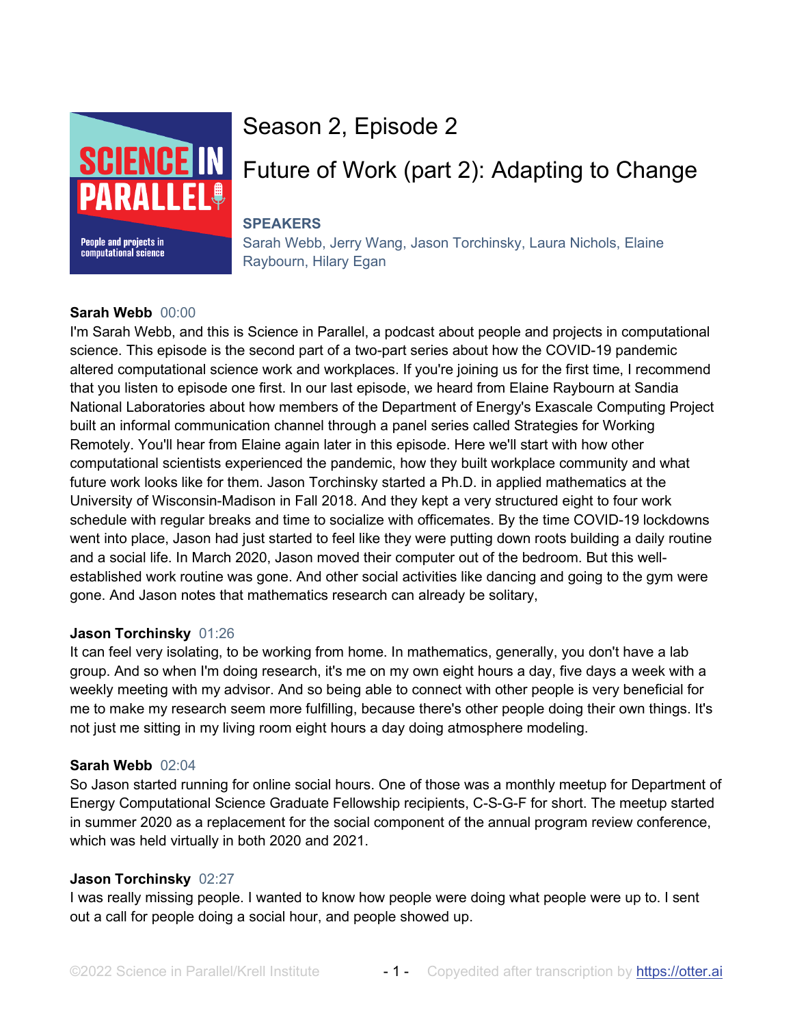

# Season 2, Episode 2

# Future of Work (part 2): Adapting to Change

# **SPEAKERS**

Sarah Webb, Jerry Wang, Jason Torchinsky, Laura Nichols, Elaine Raybourn, Hilary Egan

# **Sarah Webb** 00:00

I'm Sarah Webb, and this is Science in Parallel, a podcast about people and projects in computational science. This episode is the second part of a two-part series about how the COVID-19 pandemic altered computational science work and workplaces. If you're joining us for the first time, I recommend that you listen to episode one first. In our last episode, we heard from Elaine Raybourn at Sandia National Laboratories about how members of the Department of Energy's Exascale Computing Project built an informal communication channel through a panel series called Strategies for Working Remotely. You'll hear from Elaine again later in this episode. Here we'll start with how other computational scientists experienced the pandemic, how they built workplace community and what future work looks like for them. Jason Torchinsky started a Ph.D. in applied mathematics at the University of Wisconsin-Madison in Fall 2018. And they kept a very structured eight to four work schedule with regular breaks and time to socialize with officemates. By the time COVID-19 lockdowns went into place, Jason had just started to feel like they were putting down roots building a daily routine and a social life. In March 2020, Jason moved their computer out of the bedroom. But this wellestablished work routine was gone. And other social activities like dancing and going to the gym were gone. And Jason notes that mathematics research can already be solitary,

# **Jason Torchinsky** 01:26

It can feel very isolating, to be working from home. In mathematics, generally, you don't have a lab group. And so when I'm doing research, it's me on my own eight hours a day, five days a week with a weekly meeting with my advisor. And so being able to connect with other people is very beneficial for me to make my research seem more fulfilling, because there's other people doing their own things. It's not just me sitting in my living room eight hours a day doing atmosphere modeling.

# **Sarah Webb** 02:04

So Jason started running for online social hours. One of those was a monthly meetup for Department of Energy Computational Science Graduate Fellowship recipients, C-S-G-F for short. The meetup started in summer 2020 as a replacement for the social component of the annual program review conference, which was held virtually in both 2020 and 2021.

# **Jason Torchinsky** 02:27

I was really missing people. I wanted to know how people were doing what people were up to. I sent out a call for people doing a social hour, and people showed up.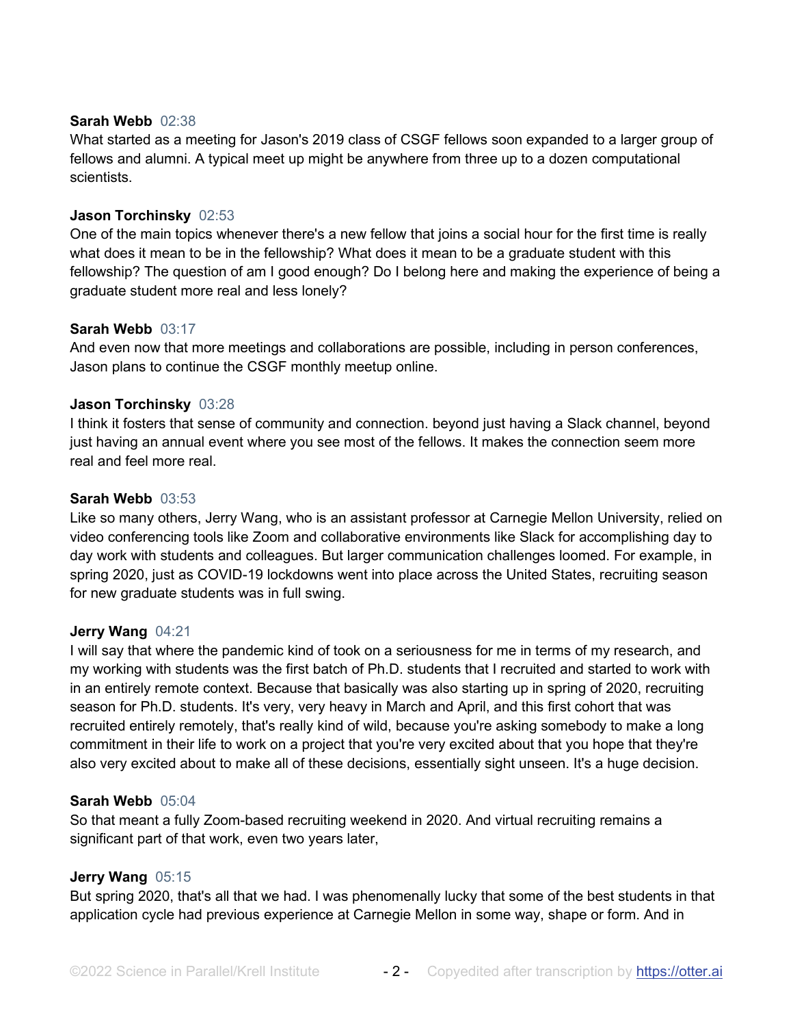## **Sarah Webb** 02:38

What started as a meeting for Jason's 2019 class of CSGF fellows soon expanded to a larger group of fellows and alumni. A typical meet up might be anywhere from three up to a dozen computational scientists.

## **Jason Torchinsky** 02:53

One of the main topics whenever there's a new fellow that joins a social hour for the first time is really what does it mean to be in the fellowship? What does it mean to be a graduate student with this fellowship? The question of am I good enough? Do I belong here and making the experience of being a graduate student more real and less lonely?

## **Sarah Webb** 03:17

And even now that more meetings and collaborations are possible, including in person conferences, Jason plans to continue the CSGF monthly meetup online.

# **Jason Torchinsky** 03:28

I think it fosters that sense of community and connection. beyond just having a Slack channel, beyond just having an annual event where you see most of the fellows. It makes the connection seem more real and feel more real.

## **Sarah Webb** 03:53

Like so many others, Jerry Wang, who is an assistant professor at Carnegie Mellon University, relied on video conferencing tools like Zoom and collaborative environments like Slack for accomplishing day to day work with students and colleagues. But larger communication challenges loomed. For example, in spring 2020, just as COVID-19 lockdowns went into place across the United States, recruiting season for new graduate students was in full swing.

## **Jerry Wang** 04:21

I will say that where the pandemic kind of took on a seriousness for me in terms of my research, and my working with students was the first batch of Ph.D. students that I recruited and started to work with in an entirely remote context. Because that basically was also starting up in spring of 2020, recruiting season for Ph.D. students. It's very, very heavy in March and April, and this first cohort that was recruited entirely remotely, that's really kind of wild, because you're asking somebody to make a long commitment in their life to work on a project that you're very excited about that you hope that they're also very excited about to make all of these decisions, essentially sight unseen. It's a huge decision.

## **Sarah Webb** 05:04

So that meant a fully Zoom-based recruiting weekend in 2020. And virtual recruiting remains a significant part of that work, even two years later,

# **Jerry Wang** 05:15

But spring 2020, that's all that we had. I was phenomenally lucky that some of the best students in that application cycle had previous experience at Carnegie Mellon in some way, shape or form. And in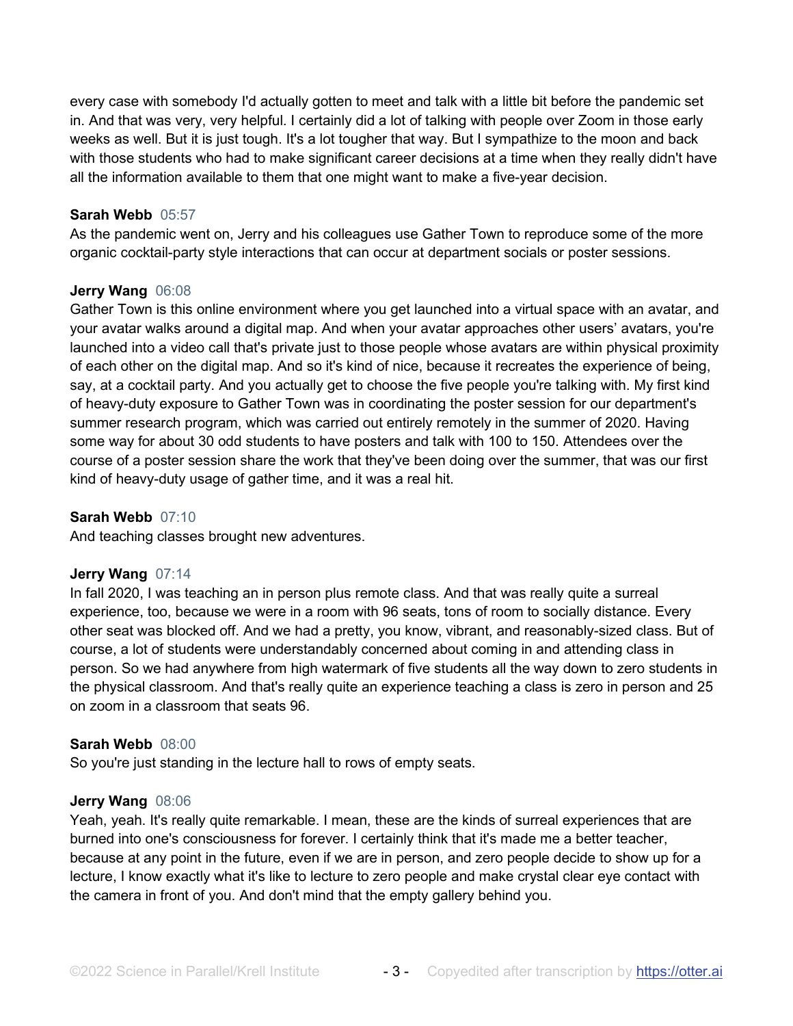every case with somebody I'd actually gotten to meet and talk with a little bit before the pandemic set in. And that was very, very helpful. I certainly did a lot of talking with people over Zoom in those early weeks as well. But it is just tough. It's a lot tougher that way. But I sympathize to the moon and back with those students who had to make significant career decisions at a time when they really didn't have all the information available to them that one might want to make a five-year decision.

## **Sarah Webb** 05:57

As the pandemic went on, Jerry and his colleagues use Gather Town to reproduce some of the more organic cocktail-party style interactions that can occur at department socials or poster sessions.

#### **Jerry Wang** 06:08

Gather Town is this online environment where you get launched into a virtual space with an avatar, and your avatar walks around a digital map. And when your avatar approaches other users' avatars, you're launched into a video call that's private just to those people whose avatars are within physical proximity of each other on the digital map. And so it's kind of nice, because it recreates the experience of being, say, at a cocktail party. And you actually get to choose the five people you're talking with. My first kind of heavy-duty exposure to Gather Town was in coordinating the poster session for our department's summer research program, which was carried out entirely remotely in the summer of 2020. Having some way for about 30 odd students to have posters and talk with 100 to 150. Attendees over the course of a poster session share the work that they've been doing over the summer, that was our first kind of heavy-duty usage of gather time, and it was a real hit.

#### **Sarah Webb** 07:10

And teaching classes brought new adventures.

## **Jerry Wang** 07:14

In fall 2020, I was teaching an in person plus remote class. And that was really quite a surreal experience, too, because we were in a room with 96 seats, tons of room to socially distance. Every other seat was blocked off. And we had a pretty, you know, vibrant, and reasonably-sized class. But of course, a lot of students were understandably concerned about coming in and attending class in person. So we had anywhere from high watermark of five students all the way down to zero students in the physical classroom. And that's really quite an experience teaching a class is zero in person and 25 on zoom in a classroom that seats 96.

#### **Sarah Webb** 08:00

So you're just standing in the lecture hall to rows of empty seats.

#### **Jerry Wang** 08:06

Yeah, yeah. It's really quite remarkable. I mean, these are the kinds of surreal experiences that are burned into one's consciousness for forever. I certainly think that it's made me a better teacher, because at any point in the future, even if we are in person, and zero people decide to show up for a lecture, I know exactly what it's like to lecture to zero people and make crystal clear eye contact with the camera in front of you. And don't mind that the empty gallery behind you.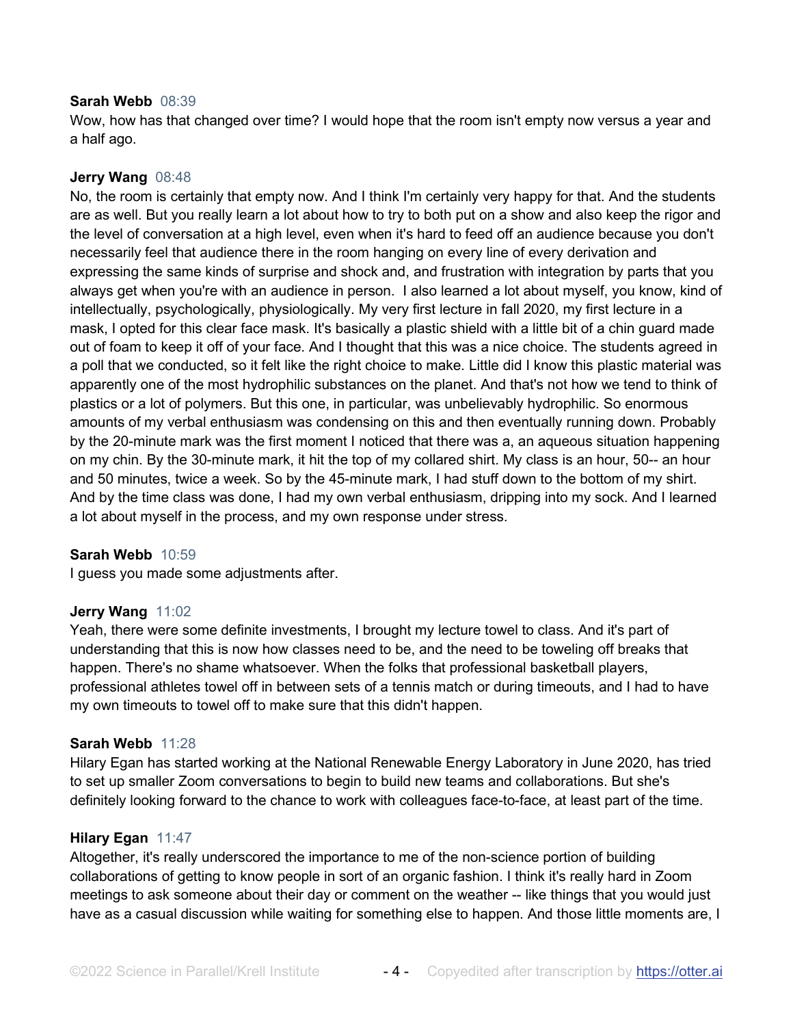#### **Sarah Webb** 08:39

Wow, how has that changed over time? I would hope that the room isn't empty now versus a year and a half ago.

# **Jerry Wang** 08:48

No, the room is certainly that empty now. And I think I'm certainly very happy for that. And the students are as well. But you really learn a lot about how to try to both put on a show and also keep the rigor and the level of conversation at a high level, even when it's hard to feed off an audience because you don't necessarily feel that audience there in the room hanging on every line of every derivation and expressing the same kinds of surprise and shock and, and frustration with integration by parts that you always get when you're with an audience in person. I also learned a lot about myself, you know, kind of intellectually, psychologically, physiologically. My very first lecture in fall 2020, my first lecture in a mask, I opted for this clear face mask. It's basically a plastic shield with a little bit of a chin guard made out of foam to keep it off of your face. And I thought that this was a nice choice. The students agreed in a poll that we conducted, so it felt like the right choice to make. Little did I know this plastic material was apparently one of the most hydrophilic substances on the planet. And that's not how we tend to think of plastics or a lot of polymers. But this one, in particular, was unbelievably hydrophilic. So enormous amounts of my verbal enthusiasm was condensing on this and then eventually running down. Probably by the 20-minute mark was the first moment I noticed that there was a, an aqueous situation happening on my chin. By the 30-minute mark, it hit the top of my collared shirt. My class is an hour, 50-- an hour and 50 minutes, twice a week. So by the 45-minute mark, I had stuff down to the bottom of my shirt. And by the time class was done, I had my own verbal enthusiasm, dripping into my sock. And I learned a lot about myself in the process, and my own response under stress.

## **Sarah Webb** 10:59

I guess you made some adjustments after.

## **Jerry Wang** 11:02

Yeah, there were some definite investments, I brought my lecture towel to class. And it's part of understanding that this is now how classes need to be, and the need to be toweling off breaks that happen. There's no shame whatsoever. When the folks that professional basketball players, professional athletes towel off in between sets of a tennis match or during timeouts, and I had to have my own timeouts to towel off to make sure that this didn't happen.

## **Sarah Webb** 11:28

Hilary Egan has started working at the National Renewable Energy Laboratory in June 2020, has tried to set up smaller Zoom conversations to begin to build new teams and collaborations. But she's definitely looking forward to the chance to work with colleagues face-to-face, at least part of the time.

## **Hilary Egan** 11:47

Altogether, it's really underscored the importance to me of the non-science portion of building collaborations of getting to know people in sort of an organic fashion. I think it's really hard in Zoom meetings to ask someone about their day or comment on the weather -- like things that you would just have as a casual discussion while waiting for something else to happen. And those little moments are, I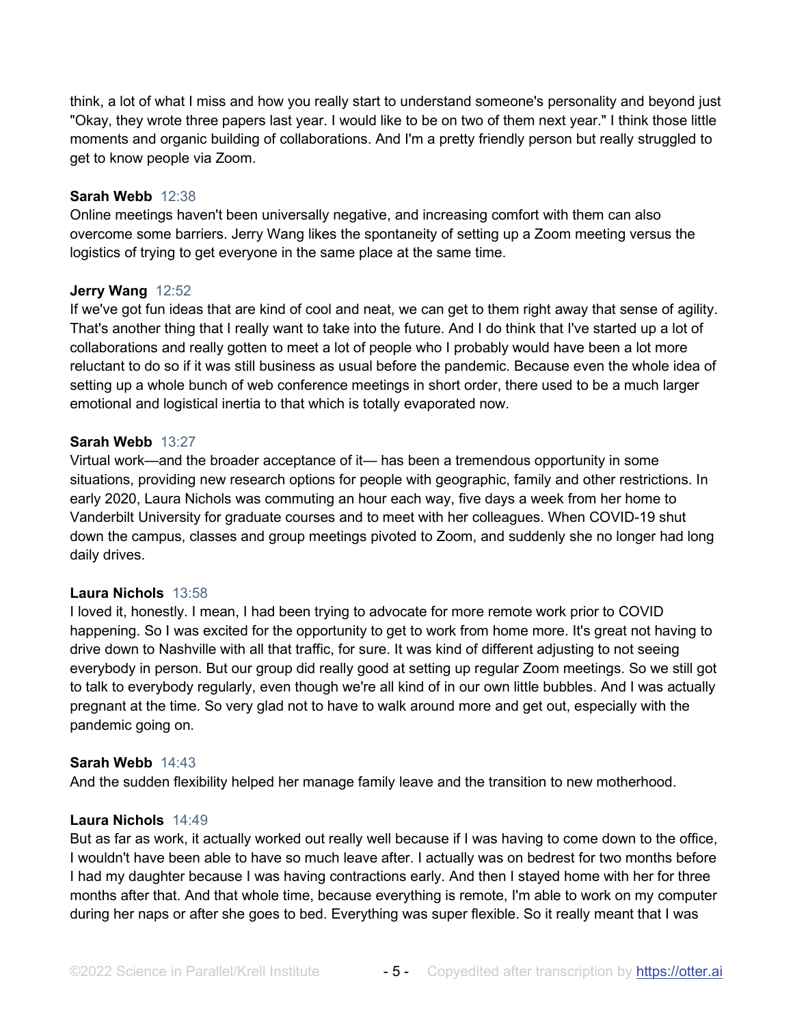think, a lot of what I miss and how you really start to understand someone's personality and beyond just "Okay, they wrote three papers last year. I would like to be on two of them next year." I think those little moments and organic building of collaborations. And I'm a pretty friendly person but really struggled to get to know people via Zoom.

## **Sarah Webb** 12:38

Online meetings haven't been universally negative, and increasing comfort with them can also overcome some barriers. Jerry Wang likes the spontaneity of setting up a Zoom meeting versus the logistics of trying to get everyone in the same place at the same time.

## **Jerry Wang** 12:52

If we've got fun ideas that are kind of cool and neat, we can get to them right away that sense of agility. That's another thing that I really want to take into the future. And I do think that I've started up a lot of collaborations and really gotten to meet a lot of people who I probably would have been a lot more reluctant to do so if it was still business as usual before the pandemic. Because even the whole idea of setting up a whole bunch of web conference meetings in short order, there used to be a much larger emotional and logistical inertia to that which is totally evaporated now.

## **Sarah Webb** 13:27

Virtual work—and the broader acceptance of it— has been a tremendous opportunity in some situations, providing new research options for people with geographic, family and other restrictions. In early 2020, Laura Nichols was commuting an hour each way, five days a week from her home to Vanderbilt University for graduate courses and to meet with her colleagues. When COVID-19 shut down the campus, classes and group meetings pivoted to Zoom, and suddenly she no longer had long daily drives.

## **Laura Nichols** 13:58

I loved it, honestly. I mean, I had been trying to advocate for more remote work prior to COVID happening. So I was excited for the opportunity to get to work from home more. It's great not having to drive down to Nashville with all that traffic, for sure. It was kind of different adjusting to not seeing everybody in person. But our group did really good at setting up regular Zoom meetings. So we still got to talk to everybody regularly, even though we're all kind of in our own little bubbles. And I was actually pregnant at the time. So very glad not to have to walk around more and get out, especially with the pandemic going on.

## **Sarah Webb** 14:43

And the sudden flexibility helped her manage family leave and the transition to new motherhood.

## **Laura Nichols** 14:49

But as far as work, it actually worked out really well because if I was having to come down to the office, I wouldn't have been able to have so much leave after. I actually was on bedrest for two months before I had my daughter because I was having contractions early. And then I stayed home with her for three months after that. And that whole time, because everything is remote, I'm able to work on my computer during her naps or after she goes to bed. Everything was super flexible. So it really meant that I was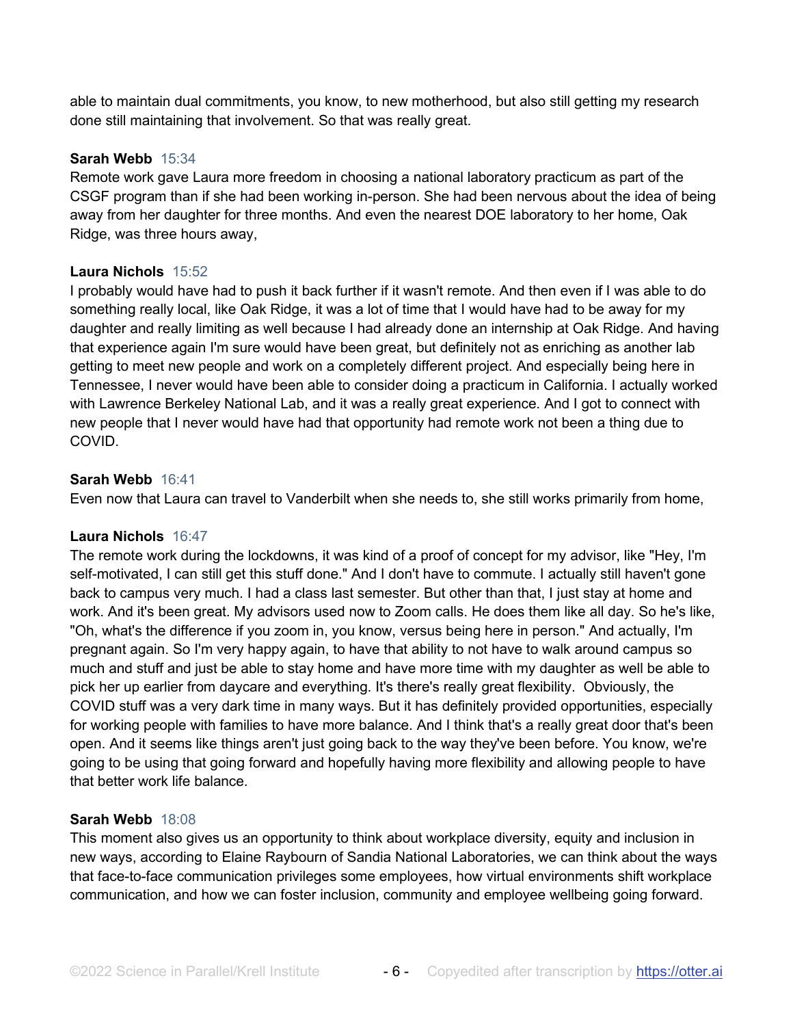able to maintain dual commitments, you know, to new motherhood, but also still getting my research done still maintaining that involvement. So that was really great.

## **Sarah Webb** 15:34

Remote work gave Laura more freedom in choosing a national laboratory practicum as part of the CSGF program than if she had been working in-person. She had been nervous about the idea of being away from her daughter for three months. And even the nearest DOE laboratory to her home, Oak Ridge, was three hours away,

# **Laura Nichols** 15:52

I probably would have had to push it back further if it wasn't remote. And then even if I was able to do something really local, like Oak Ridge, it was a lot of time that I would have had to be away for my daughter and really limiting as well because I had already done an internship at Oak Ridge. And having that experience again I'm sure would have been great, but definitely not as enriching as another lab getting to meet new people and work on a completely different project. And especially being here in Tennessee, I never would have been able to consider doing a practicum in California. I actually worked with Lawrence Berkeley National Lab, and it was a really great experience. And I got to connect with new people that I never would have had that opportunity had remote work not been a thing due to COVID.

## **Sarah Webb** 16:41

Even now that Laura can travel to Vanderbilt when she needs to, she still works primarily from home,

## **Laura Nichols** 16:47

The remote work during the lockdowns, it was kind of a proof of concept for my advisor, like "Hey, I'm self-motivated, I can still get this stuff done." And I don't have to commute. I actually still haven't gone back to campus very much. I had a class last semester. But other than that, I just stay at home and work. And it's been great. My advisors used now to Zoom calls. He does them like all day. So he's like, "Oh, what's the difference if you zoom in, you know, versus being here in person." And actually, I'm pregnant again. So I'm very happy again, to have that ability to not have to walk around campus so much and stuff and just be able to stay home and have more time with my daughter as well be able to pick her up earlier from daycare and everything. It's there's really great flexibility. Obviously, the COVID stuff was a very dark time in many ways. But it has definitely provided opportunities, especially for working people with families to have more balance. And I think that's a really great door that's been open. And it seems like things aren't just going back to the way they've been before. You know, we're going to be using that going forward and hopefully having more flexibility and allowing people to have that better work life balance.

## **Sarah Webb** 18:08

This moment also gives us an opportunity to think about workplace diversity, equity and inclusion in new ways, according to Elaine Raybourn of Sandia National Laboratories, we can think about the ways that face-to-face communication privileges some employees, how virtual environments shift workplace communication, and how we can foster inclusion, community and employee wellbeing going forward.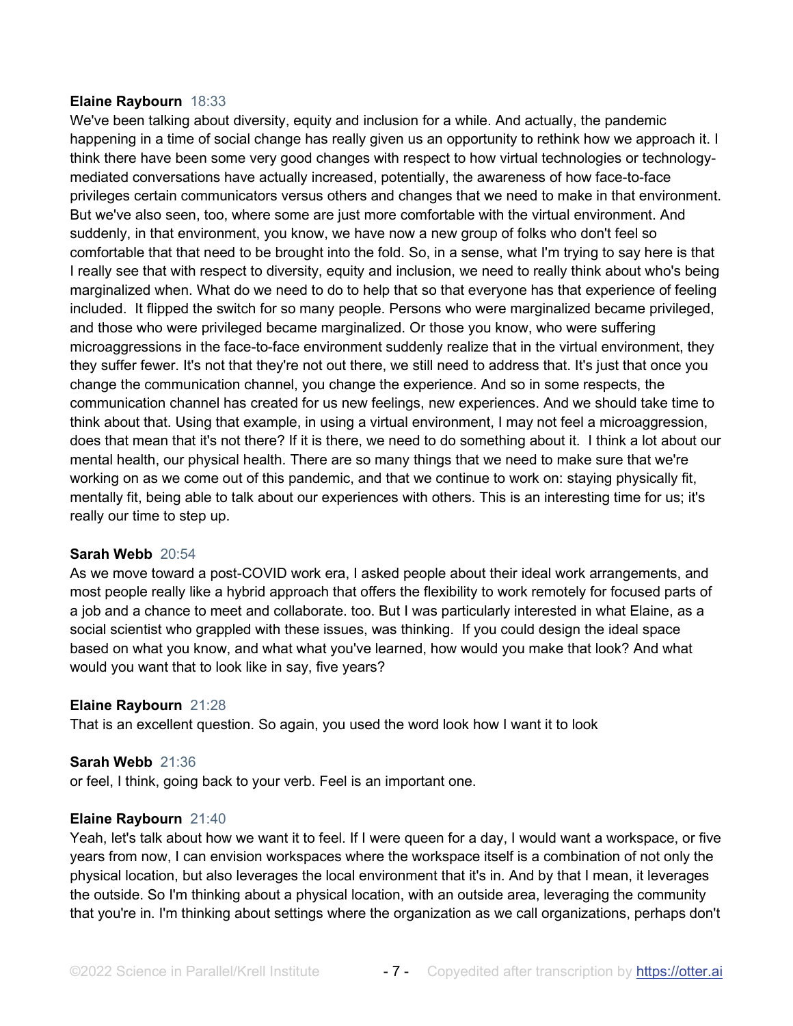## **Elaine Raybourn** 18:33

We've been talking about diversity, equity and inclusion for a while. And actually, the pandemic happening in a time of social change has really given us an opportunity to rethink how we approach it. I think there have been some very good changes with respect to how virtual technologies or technologymediated conversations have actually increased, potentially, the awareness of how face-to-face privileges certain communicators versus others and changes that we need to make in that environment. But we've also seen, too, where some are just more comfortable with the virtual environment. And suddenly, in that environment, you know, we have now a new group of folks who don't feel so comfortable that that need to be brought into the fold. So, in a sense, what I'm trying to say here is that I really see that with respect to diversity, equity and inclusion, we need to really think about who's being marginalized when. What do we need to do to help that so that everyone has that experience of feeling included. It flipped the switch for so many people. Persons who were marginalized became privileged, and those who were privileged became marginalized. Or those you know, who were suffering microaggressions in the face-to-face environment suddenly realize that in the virtual environment, they they suffer fewer. It's not that they're not out there, we still need to address that. It's just that once you change the communication channel, you change the experience. And so in some respects, the communication channel has created for us new feelings, new experiences. And we should take time to think about that. Using that example, in using a virtual environment, I may not feel a microaggression, does that mean that it's not there? If it is there, we need to do something about it. I think a lot about our mental health, our physical health. There are so many things that we need to make sure that we're working on as we come out of this pandemic, and that we continue to work on: staying physically fit, mentally fit, being able to talk about our experiences with others. This is an interesting time for us; it's really our time to step up.

## **Sarah Webb** 20:54

As we move toward a post-COVID work era, I asked people about their ideal work arrangements, and most people really like a hybrid approach that offers the flexibility to work remotely for focused parts of a job and a chance to meet and collaborate. too. But I was particularly interested in what Elaine, as a social scientist who grappled with these issues, was thinking. If you could design the ideal space based on what you know, and what what you've learned, how would you make that look? And what would you want that to look like in say, five years?

## **Elaine Raybourn** 21:28

That is an excellent question. So again, you used the word look how I want it to look

#### **Sarah Webb** 21:36

or feel, I think, going back to your verb. Feel is an important one.

#### **Elaine Raybourn** 21:40

Yeah, let's talk about how we want it to feel. If I were queen for a day, I would want a workspace, or five years from now, I can envision workspaces where the workspace itself is a combination of not only the physical location, but also leverages the local environment that it's in. And by that I mean, it leverages the outside. So I'm thinking about a physical location, with an outside area, leveraging the community that you're in. I'm thinking about settings where the organization as we call organizations, perhaps don't